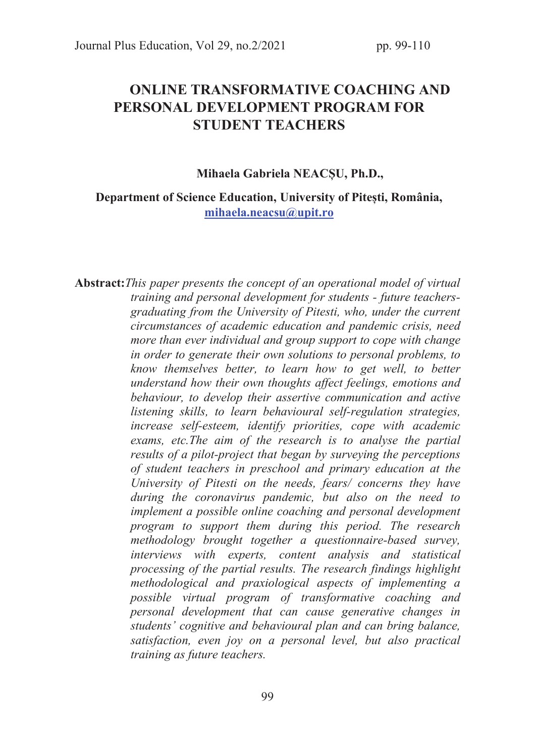# ONLINE TRANSFORMATIVE COACHING AND PERSONAL DEVELOPMENT PROGRAM FOR STUDENT TEACHERS

#### Mihaela Gabriela NEACȘU, Ph.D.,

#### Department of Science Education, University of Pitești, România, mihaela.neacsu@upit.ro

Abstract: This paper presents the concept of an operational model of virtual training and personal development for students - future teachersgraduating from the University of Pitesti, who, under the current circumstances of academic education and pandemic crisis, need more than ever individual and group support to cope with change in order to generate their own solutions to personal problems, to know themselves better, to learn how to get well, to better understand how their own thoughts affect feelings, emotions and behaviour, to develop their assertive communication and active listening skills, to learn behavioural self-regulation strategies, increase self-esteem, identify priorities, cope with academic exams, etc.The aim of the research is to analyse the partial results of a pilot-project that began by surveying the perceptions of student teachers in preschool and primary education at the University of Pitesti on the needs, fears/ concerns they have during the coronavirus pandemic, but also on the need to implement a possible online coaching and personal development program to support them during this period. The research methodology brought together a questionnaire-based survey, interviews with experts, content analysis and statistical processing of the partial results. The research findings highlight methodological and praxiological aspects of implementing a possible virtual program of transformative coaching and personal development that can cause generative changes in students' cognitive and behavioural plan and can bring balance, satisfaction, even joy on a personal level, but also practical training as future teachers.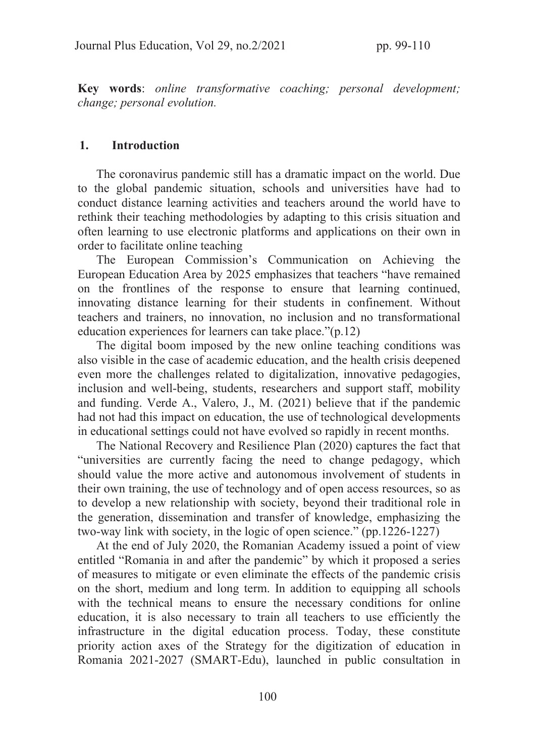Key words: online transformative coaching; personal development; change; personal evolution.

#### 1. Introduction

The coronavirus pandemic still has a dramatic impact on the world. Due to the global pandemic situation, schools and universities have had to conduct distance learning activities and teachers around the world have to rethink their teaching methodologies by adapting to this crisis situation and often learning to use electronic platforms and applications on their own in order to facilitate online teaching

The European Commission's Communication on Achieving the European Education Area by 2025 emphasizes that teachers "have remained on the frontlines of the response to ensure that learning continued, innovating distance learning for their students in confinement. Without teachers and trainers, no innovation, no inclusion and no transformational education experiences for learners can take place."(p.12)

The digital boom imposed by the new online teaching conditions was also visible in the case of academic education, and the health crisis deepened even more the challenges related to digitalization, innovative pedagogies, inclusion and well-being, students, researchers and support staff, mobility and funding. Verde A., Valero, J., M. (2021) believe that if the pandemic had not had this impact on education, the use of technological developments in educational settings could not have evolved so rapidly in recent months.

The National Recovery and Resilience Plan (2020) captures the fact that "universities are currently facing the need to change pedagogy, which should value the more active and autonomous involvement of students in their own training, the use of technology and of open access resources, so as to develop a new relationship with society, beyond their traditional role in the generation, dissemination and transfer of knowledge, emphasizing the two-way link with society, in the logic of open science." (pp.1226-1227)

At the end of July 2020, the Romanian Academy issued a point of view entitled "Romania in and after the pandemic" by which it proposed a series of measures to mitigate or even eliminate the effects of the pandemic crisis on the short, medium and long term. In addition to equipping all schools with the technical means to ensure the necessary conditions for online education, it is also necessary to train all teachers to use efficiently the infrastructure in the digital education process. Today, these constitute priority action axes of the Strategy for the digitization of education in Romania 2021-2027 (SMART-Edu), launched in public consultation in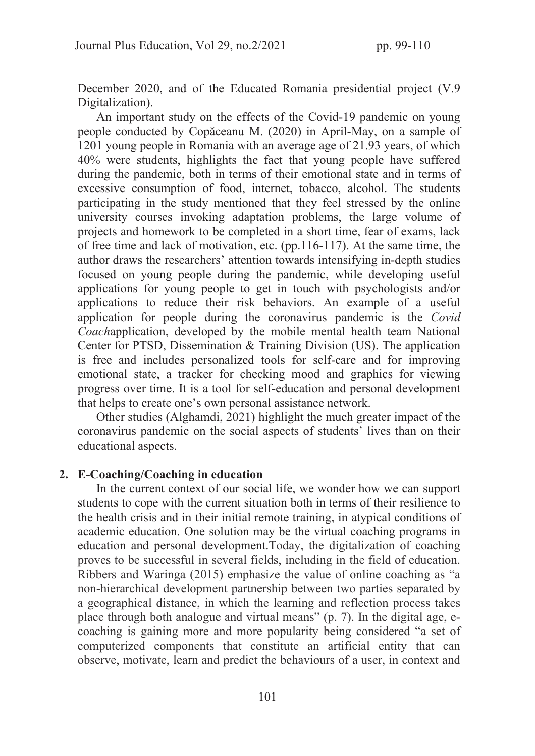December 2020, and of the Educated Romania presidential project (V.9 Digitalization).

An important study on the effects of the Covid-19 pandemic on young people conducted by Copăceanu M. (2020) in April-May, on a sample of 1201 young people in Romania with an average age of 21.93 years, of which 40% were students, highlights the fact that young people have suffered during the pandemic, both in terms of their emotional state and in terms of excessive consumption of food, internet, tobacco, alcohol. The students participating in the study mentioned that they feel stressed by the online university courses invoking adaptation problems, the large volume of projects and homework to be completed in a short time, fear of exams, lack of free time and lack of motivation, etc. (pp.116-117). At the same time, the author draws the researchers' attention towards intensifying in-depth studies focused on young people during the pandemic, while developing useful applications for young people to get in touch with psychologists and/or applications to reduce their risk behaviors. An example of a useful application for people during the coronavirus pandemic is the Covid Coachapplication, developed by the mobile mental health team National Center for PTSD, Dissemination & Training Division (US). The application is free and includes personalized tools for self-care and for improving emotional state, a tracker for checking mood and graphics for viewing progress over time. It is a tool for self-education and personal development that helps to create one's own personal assistance network.

Other studies (Alghamdi, 2021) highlight the much greater impact of the coronavirus pandemic on the social aspects of students' lives than on their educational aspects.

#### 2. E-Coaching/Coaching in education

In the current context of our social life, we wonder how we can support students to cope with the current situation both in terms of their resilience to the health crisis and in their initial remote training, in atypical conditions of academic education. One solution may be the virtual coaching programs in education and personal development.Today, the digitalization of coaching proves to be successful in several fields, including in the field of education. Ribbers and Waringa (2015) emphasize the value of online coaching as "a non-hierarchical development partnership between two parties separated by a geographical distance, in which the learning and reflection process takes place through both analogue and virtual means" (p. 7). In the digital age, ecoaching is gaining more and more popularity being considered "a set of computerized components that constitute an artificial entity that can observe, motivate, learn and predict the behaviours of a user, in context and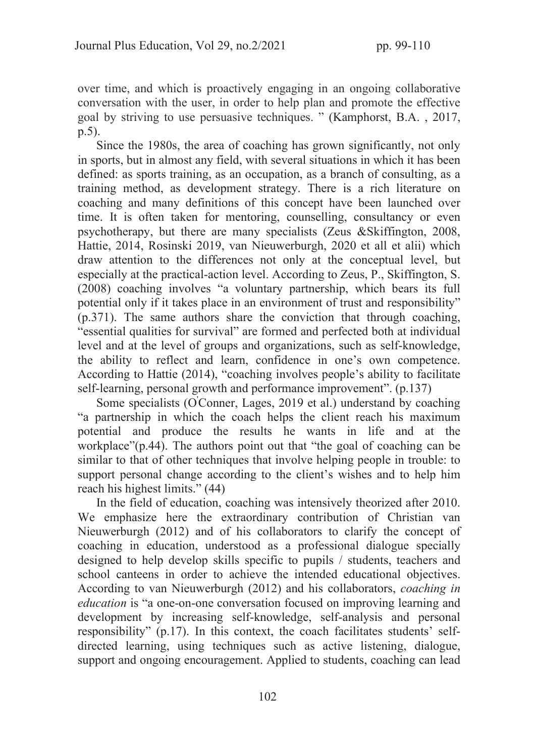over time, and which is proactively engaging in an ongoing collaborative conversation with the user, in order to help plan and promote the effective goal by striving to use persuasive techniques. " (Kamphorst, B.A. , 2017, p.5).

Since the 1980s, the area of coaching has grown significantly, not only in sports, but in almost any field, with several situations in which it has been defined: as sports training, as an occupation, as a branch of consulting, as a training method, as development strategy. There is a rich literature on coaching and many definitions of this concept have been launched over time. It is often taken for mentoring, counselling, consultancy or even psychotherapy, but there are many specialists (Zeus &Skiffington, 2008, Hattie, 2014, Rosinski 2019, van Nieuwerburgh, 2020 et all et alii) which draw attention to the differences not only at the conceptual level, but especially at the practical-action level. According to Zeus, P., Skiffington, S. (2008) coaching involves "a voluntary partnership, which bears its full potential only if it takes place in an environment of trust and responsibility" (p.371). The same authors share the conviction that through coaching, "essential qualities for survival" are formed and perfected both at individual level and at the level of groups and organizations, such as self-knowledge, the ability to reflect and learn, confidence in one's own competence. According to Hattie (2014), "coaching involves people's ability to facilitate self-learning, personal growth and performance improvement". (p.137)

Some specialists (O'Conner, Lages, 2019 et al.) understand by coaching "a partnership in which the coach helps the client reach his maximum potential and produce the results he wants in life and at the workplace"(p.44). The authors point out that "the goal of coaching can be similar to that of other techniques that involve helping people in trouble: to support personal change according to the client's wishes and to help him reach his highest limits." (44)

In the field of education, coaching was intensively theorized after 2010. We emphasize here the extraordinary contribution of Christian van Nieuwerburgh (2012) and of his collaborators to clarify the concept of coaching in education, understood as a professional dialogue specially designed to help develop skills specific to pupils / students, teachers and school canteens in order to achieve the intended educational objectives. According to van Nieuwerburgh (2012) and his collaborators, coaching in education is "a one-on-one conversation focused on improving learning and development by increasing self-knowledge, self-analysis and personal responsibility" (p.17). In this context, the coach facilitates students' selfdirected learning, using techniques such as active listening, dialogue, support and ongoing encouragement. Applied to students, coaching can lead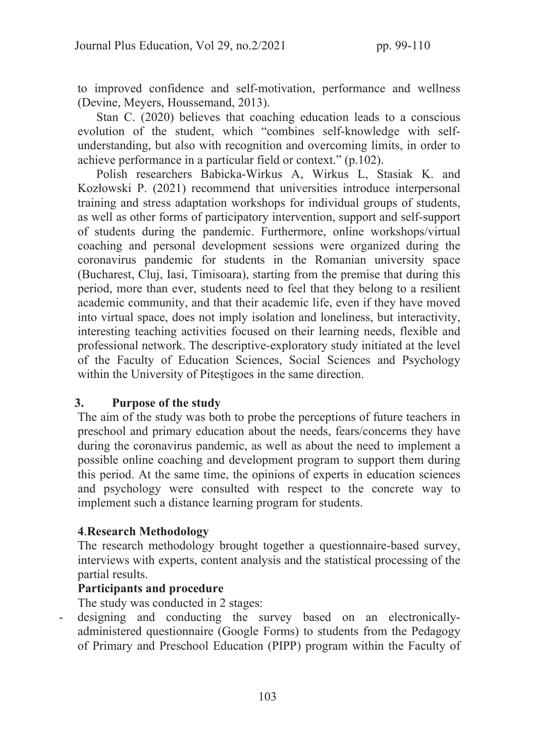to improved confidence and self-motivation, performance and wellness (Devine, Meyers, Houssemand, 2013).

Stan C. (2020) believes that coaching education leads to a conscious evolution of the student, which "combines self-knowledge with selfunderstanding, but also with recognition and overcoming limits, in order to achieve performance in a particular field or context." (p.102).

Polish researchers Babicka-Wirkus A, Wirkus L, Stasiak K. and Kozłowski P. (2021) recommend that universities introduce interpersonal training and stress adaptation workshops for individual groups of students, as well as other forms of participatory intervention, support and self-support of students during the pandemic. Furthermore, online workshops/virtual coaching and personal development sessions were organized during the coronavirus pandemic for students in the Romanian university space (Bucharest, Cluj, Iasi, Timisoara), starting from the premise that during this period, more than ever, students need to feel that they belong to a resilient academic community, and that their academic life, even if they have moved into virtual space, does not imply isolation and loneliness, but interactivity, interesting teaching activities focused on their learning needs, flexible and professional network. The descriptive-exploratory study initiated at the level of the Faculty of Education Sciences, Social Sciences and Psychology within the University of Piteștigoes in the same direction.

#### 3. Purpose of the study

The aim of the study was both to probe the perceptions of future teachers in preschool and primary education about the needs, fears/concerns they have during the coronavirus pandemic, as well as about the need to implement a possible online coaching and development program to support them during this period. At the same time, the opinions of experts in education sciences and psychology were consulted with respect to the concrete way to implement such a distance learning program for students.

## 4.Research Methodology

The research methodology brought together a questionnaire-based survey, interviews with experts, content analysis and the statistical processing of the partial results.

#### Participants and procedure

The study was conducted in 2 stages:

designing and conducting the survey based on an electronicallyadministered questionnaire (Google Forms) to students from the Pedagogy of Primary and Preschool Education (PIPP) program within the Faculty of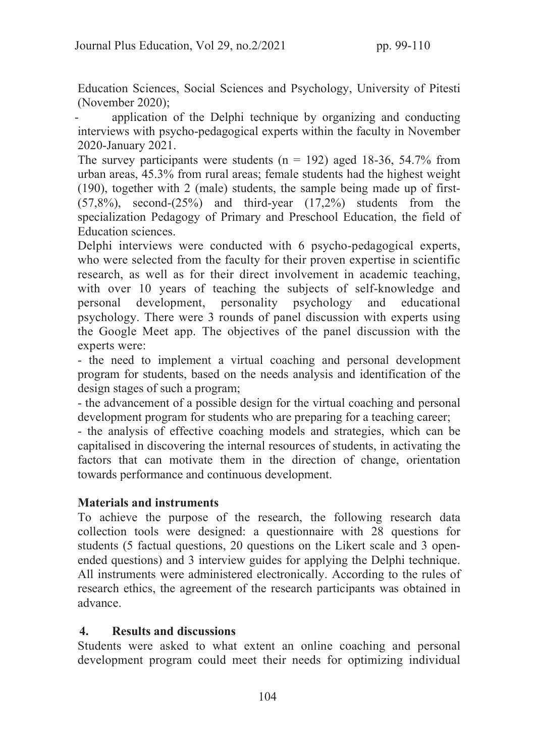Education Sciences, Social Sciences and Psychology, University of Pitesti (November 2020);

application of the Delphi technique by organizing and conducting interviews with psycho-pedagogical experts within the faculty in November 2020-January 2021.

The survey participants were students  $(n = 192)$  aged 18-36, 54.7% from urban areas, 45.3% from rural areas; female students had the highest weight (190), together with 2 (male) students, the sample being made up of first-  $(57,8\%)$ , second- $(25\%)$  and third-year  $(17,2\%)$  students from the specialization Pedagogy of Primary and Preschool Education, the field of Education sciences.

Delphi interviews were conducted with 6 psycho-pedagogical experts, who were selected from the faculty for their proven expertise in scientific research, as well as for their direct involvement in academic teaching, with over 10 years of teaching the subjects of self-knowledge and personal development, personality psychology and educational psychology. There were 3 rounds of panel discussion with experts using the Google Meet app. The objectives of the panel discussion with the experts were:

- the need to implement a virtual coaching and personal development program for students, based on the needs analysis and identification of the design stages of such a program;

- the advancement of a possible design for the virtual coaching and personal development program for students who are preparing for a teaching career;

- the analysis of effective coaching models and strategies, which can be capitalised in discovering the internal resources of students, in activating the factors that can motivate them in the direction of change, orientation towards performance and continuous development.

## Materials and instruments

To achieve the purpose of the research, the following research data collection tools were designed: a questionnaire with 28 questions for students (5 factual questions, 20 questions on the Likert scale and 3 openended questions) and 3 interview guides for applying the Delphi technique. All instruments were administered electronically. According to the rules of research ethics, the agreement of the research participants was obtained in advance.

## 4. Results and discussions

Students were asked to what extent an online coaching and personal development program could meet their needs for optimizing individual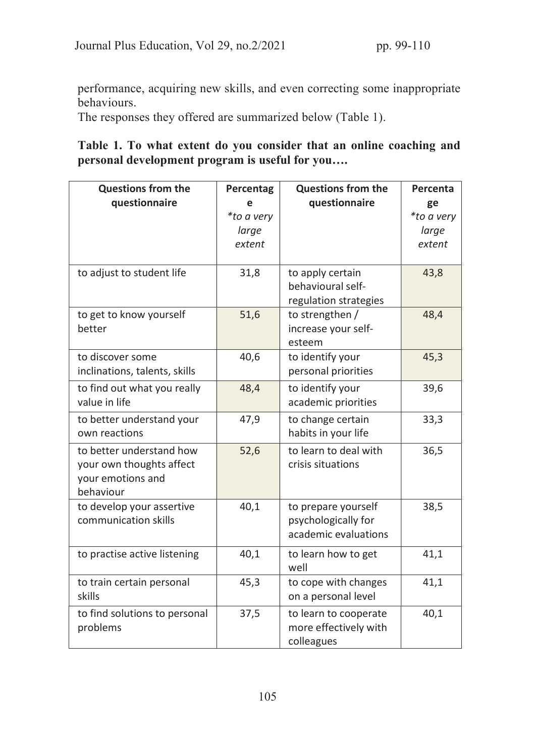performance, acquiring new skills, and even correcting some inappropriate behaviours.

The responses they offered are summarized below (Table 1).

Table 1. To what extent do you consider that an online coaching and personal development program is useful for you….

| <b>Questions from the</b>     | Percentag  | <b>Questions from the</b>               | Percenta   |
|-------------------------------|------------|-----------------------------------------|------------|
| questionnaire                 | e          | questionnaire                           | ge         |
|                               | *to a very |                                         | *to a very |
|                               | large      |                                         | large      |
|                               | extent     |                                         | extent     |
|                               |            |                                         |            |
| to adjust to student life     | 31,8       | to apply certain                        | 43,8       |
|                               |            | behavioural self-                       |            |
|                               |            | regulation strategies                   |            |
| to get to know yourself       | 51,6       | to strengthen /                         | 48,4       |
| better                        |            | increase your self-                     |            |
| to discover some              |            | esteem                                  |            |
|                               | 40,6       | to identify your<br>personal priorities | 45,3       |
| inclinations, talents, skills |            |                                         |            |
| to find out what you really   | 48,4       | to identify your                        | 39,6       |
| value in life                 |            | academic priorities                     |            |
| to better understand your     | 47,9       | to change certain                       | 33,3       |
| own reactions                 |            | habits in your life                     |            |
| to better understand how      | 52,6       | to learn to deal with                   | 36,5       |
| your own thoughts affect      |            | crisis situations                       |            |
| your emotions and             |            |                                         |            |
| behaviour                     |            |                                         |            |
| to develop your assertive     | 40,1       | to prepare yourself                     | 38,5       |
| communication skills          |            | psychologically for                     |            |
|                               |            | academic evaluations                    |            |
| to practise active listening  | 40,1       | to learn how to get                     | 41,1       |
|                               |            | well                                    |            |
| to train certain personal     | 45,3       | to cope with changes                    | 41,1       |
| skills                        |            | on a personal level                     |            |
| to find solutions to personal | 37,5       | to learn to cooperate                   | 40,1       |
| problems                      |            | more effectively with                   |            |
|                               |            | colleagues                              |            |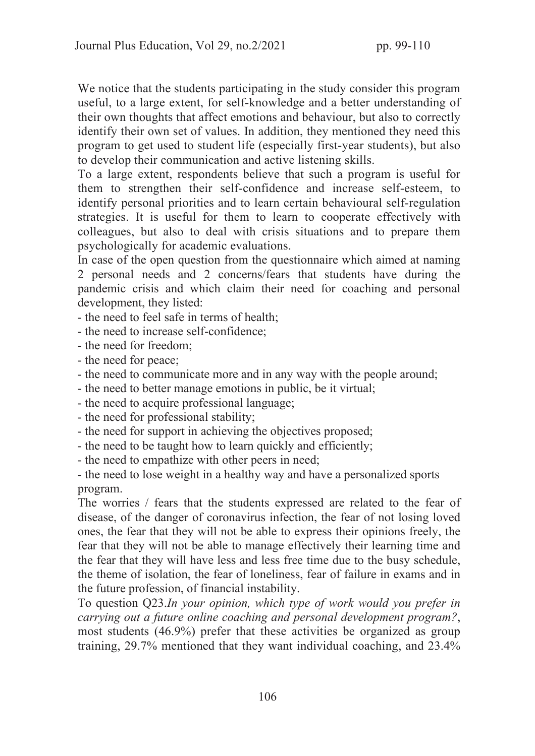We notice that the students participating in the study consider this program useful, to a large extent, for self-knowledge and a better understanding of their own thoughts that affect emotions and behaviour, but also to correctly identify their own set of values. In addition, they mentioned they need this program to get used to student life (especially first-year students), but also to develop their communication and active listening skills.

To a large extent, respondents believe that such a program is useful for them to strengthen their self-confidence and increase self-esteem, to identify personal priorities and to learn certain behavioural self-regulation strategies. It is useful for them to learn to cooperate effectively with colleagues, but also to deal with crisis situations and to prepare them psychologically for academic evaluations.

In case of the open question from the questionnaire which aimed at naming 2 personal needs and 2 concerns/fears that students have during the pandemic crisis and which claim their need for coaching and personal development, they listed:

- the need to feel safe in terms of health;

- the need to increase self-confidence;

- the need for freedom;

- the need for peace;

- the need to communicate more and in any way with the people around;

- the need to better manage emotions in public, be it virtual;

- the need to acquire professional language;

- the need for professional stability;

- the need for support in achieving the objectives proposed;

- the need to be taught how to learn quickly and efficiently;

- the need to empathize with other peers in need;

- the need to lose weight in a healthy way and have a personalized sports program.

The worries / fears that the students expressed are related to the fear of disease, of the danger of coronavirus infection, the fear of not losing loved ones, the fear that they will not be able to express their opinions freely, the fear that they will not be able to manage effectively their learning time and the fear that they will have less and less free time due to the busy schedule, the theme of isolation, the fear of loneliness, fear of failure in exams and in the future profession, of financial instability.

To question Q23.In your opinion, which type of work would you prefer in carrying out a future online coaching and personal development program?, most students (46.9%) prefer that these activities be organized as group training, 29.7% mentioned that they want individual coaching, and 23.4%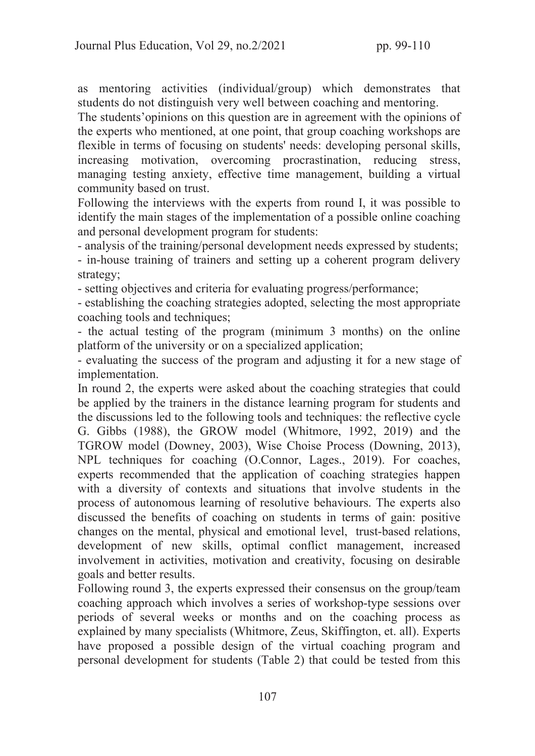as mentoring activities (individual/group) which demonstrates that students do not distinguish very well between coaching and mentoring.

The students'opinions on this question are in agreement with the opinions of the experts who mentioned, at one point, that group coaching workshops are flexible in terms of focusing on students' needs: developing personal skills, increasing motivation, overcoming procrastination, reducing stress, managing testing anxiety, effective time management, building a virtual community based on trust.

Following the interviews with the experts from round I, it was possible to identify the main stages of the implementation of a possible online coaching and personal development program for students:

- analysis of the training/personal development needs expressed by students;

- in-house training of trainers and setting up a coherent program delivery strategy;

- setting objectives and criteria for evaluating progress/performance;

- establishing the coaching strategies adopted, selecting the most appropriate coaching tools and techniques;

- the actual testing of the program (minimum 3 months) on the online platform of the university or on a specialized application;

- evaluating the success of the program and adjusting it for a new stage of implementation.

In round 2, the experts were asked about the coaching strategies that could be applied by the trainers in the distance learning program for students and the discussions led to the following tools and techniques: the reflective cycle G. Gibbs (1988), the GROW model (Whitmore, 1992, 2019) and the TGROW model (Downey, 2003), Wise Choise Process (Downing, 2013), NPL techniques for coaching (O.Connor, Lages., 2019). For coaches, experts recommended that the application of coaching strategies happen with a diversity of contexts and situations that involve students in the process of autonomous learning of resolutive behaviours. The experts also discussed the benefits of coaching on students in terms of gain: positive changes on the mental, physical and emotional level, trust-based relations, development of new skills, optimal conflict management, increased involvement in activities, motivation and creativity, focusing on desirable goals and better results.

Following round 3, the experts expressed their consensus on the group/team coaching approach which involves a series of workshop-type sessions over periods of several weeks or months and on the coaching process as explained by many specialists (Whitmore, Zeus, Skiffington, et. all). Experts have proposed a possible design of the virtual coaching program and personal development for students (Table 2) that could be tested from this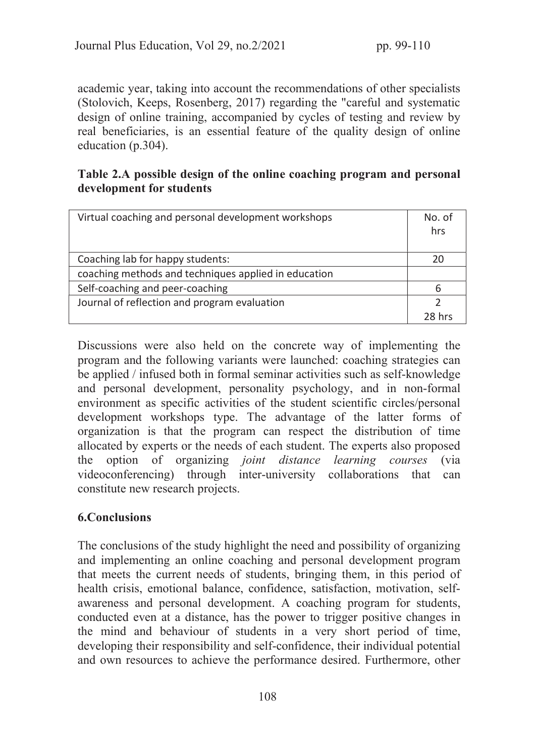academic year, taking into account the recommendations of other specialists (Stolovich, Keeps, Rosenberg, 2017) regarding the "careful and systematic design of online training, accompanied by cycles of testing and review by real beneficiaries, is an essential feature of the quality design of online education (p.304).

## Table 2.A possible design of the online coaching program and personal development for students

| Virtual coaching and personal development workshops  | No. of<br>hrs |
|------------------------------------------------------|---------------|
| Coaching lab for happy students:                     |               |
| coaching methods and techniques applied in education |               |
| Self-coaching and peer-coaching                      |               |
| Journal of reflection and program evaluation         |               |
|                                                      | 78 hrc        |

Discussions were also held on the concrete way of implementing the program and the following variants were launched: coaching strategies can be applied / infused both in formal seminar activities such as self-knowledge and personal development, personality psychology, and in non-formal environment as specific activities of the student scientific circles/personal development workshops type. The advantage of the latter forms of organization is that the program can respect the distribution of time allocated by experts or the needs of each student. The experts also proposed the option of organizing joint distance learning courses (via videoconferencing) through inter-university collaborations that can constitute new research projects.

## 6.Conclusions

The conclusions of the study highlight the need and possibility of organizing and implementing an online coaching and personal development program that meets the current needs of students, bringing them, in this period of health crisis, emotional balance, confidence, satisfaction, motivation, selfawareness and personal development. A coaching program for students, conducted even at a distance, has the power to trigger positive changes in the mind and behaviour of students in a very short period of time, developing their responsibility and self-confidence, their individual potential and own resources to achieve the performance desired. Furthermore, other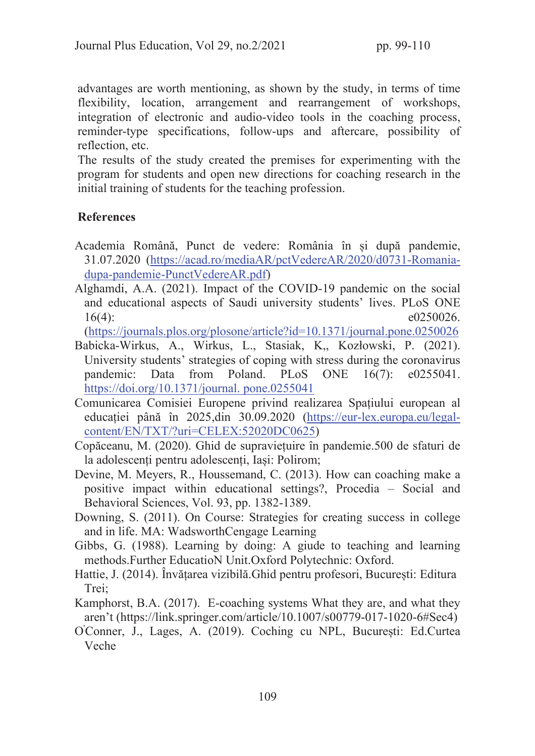advantages are worth mentioning, as shown by the study, in terms of time flexibility, location, arrangement and rearrangement of workshops, integration of electronic and audio-video tools in the coaching process, reminder-type specifications, follow-ups and aftercare, possibility of reflection, etc.

The results of the study created the premises for experimenting with the program for students and open new directions for coaching research in the initial training of students for the teaching profession.

## References

- Academia Română, Punct de vedere: România în și după pandemie, 31.07.2020 (https://acad.ro/mediaAR/pctVedereAR/2020/d0731-Romaniadupa-pandemie-PunctVedereAR.pdf)
- Alghamdi, A.A. (2021). Impact of the COVID-19 pandemic on the social and educational aspects of Saudi university students' lives. PLoS ONE 16(4):  $e0250026$ .

(https://journals.plos.org/plosone/article?id=10.1371/journal.pone.0250026

- Babicka-Wirkus, A., Wirkus, L., Stasiak, K,, Kozłowski, P. (2021). University students' strategies of coping with stress during the coronavirus pandemic: Data from Poland. PLoS ONE 16(7): e0255041. https://doi.org/10.1371/journal. pone.0255041
- Comunicarea Comisiei Europene privind realizarea Spațiului european al educației până în 2025,din 30.09.2020 (https://eur-lex.europa.eu/legalcontent/EN/TXT/?uri=CELEX:52020DC0625)
- Copăceanu, M. (2020). Ghid de supraviețuire în pandemie.500 de sfaturi de la adolescenți pentru adolescenți, Iași: Polirom;
- Devine, M. Meyers, R., Houssemand, C. (2013). How can coaching make a positive impact within educational settings?, Procedia – Social and Behavioral Sciences, Vol. 93, pp. 1382-1389.
- Downing, S. (2011). On Course: Strategies for creating success in college and in life. MA: WadsworthCengage Learning
- Gibbs, G. (1988). Learning by doing: A giude to teaching and learning methods.Further EducatioN Unit.Oxford Polytechnic: Oxford.
- Hattie, J. (2014). Învățarea vizibilă.Ghid pentru profesori, București: Editura Trei;
- Kamphorst, B.A. (2017). E-coaching systems What they are, and what they aren't (https://link.springer.com/article/10.1007/s00779-017-1020-6#Sec4)
- O 'Conner, J., Lages, A. (2019). Coching cu NPL, București: Ed.Curtea Veche